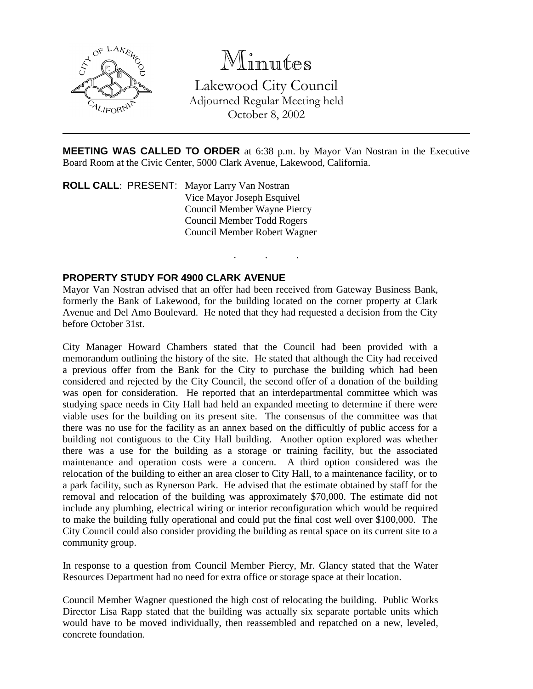

Minutes

Lakewood City Council Adjourned Regular Meeting held October 8, 2002

**MEETING WAS CALLED TO ORDER** at 6:38 p.m. by Mayor Van Nostran in the Executive Board Room at the Civic Center, 5000 Clark Avenue, Lakewood, California.

. . .

**ROLL CALL**: PRESENT: Mayor Larry Van Nostran Vice Mayor Joseph Esquivel Council Member Wayne Piercy Council Member Todd Rogers Council Member Robert Wagner

## **PROPERTY STUDY FOR 4900 CLARK AVENUE**

Mayor Van Nostran advised that an offer had been received from Gateway Business Bank, formerly the Bank of Lakewood, for the building located on the corner property at Clark Avenue and Del Amo Boulevard. He noted that they had requested a decision from the City before October 31st.

City Manager Howard Chambers stated that the Council had been provided with a memorandum outlining the history of the site. He stated that although the City had received a previous offer from the Bank for the City to purchase the building which had been considered and rejected by the City Council, the second offer of a donation of the building was open for consideration. He reported that an interdepartmental committee which was studying space needs in City Hall had held an expanded meeting to determine if there were viable uses for the building on its present site. The consensus of the committee was that there was no use for the facility as an annex based on the difficultly of public access for a building not contiguous to the City Hall building. Another option explored was whether there was a use for the building as a storage or training facility, but the associated maintenance and operation costs were a concern. A third option considered was the relocation of the building to either an area closer to City Hall, to a maintenance facility, or to a park facility, such as Rynerson Park. He advised that the estimate obtained by staff for the removal and relocation of the building was approximately \$70,000. The estimate did not include any plumbing, electrical wiring or interior reconfiguration which would be required to make the building fully operational and could put the final cost well over \$100,000. The City Council could also consider providing the building as rental space on its current site to a community group.

In response to a question from Council Member Piercy, Mr. Glancy stated that the Water Resources Department had no need for extra office or storage space at their location.

Council Member Wagner questioned the high cost of relocating the building. Public Works Director Lisa Rapp stated that the building was actually six separate portable units which would have to be moved individually, then reassembled and repatched on a new, leveled, concrete foundation.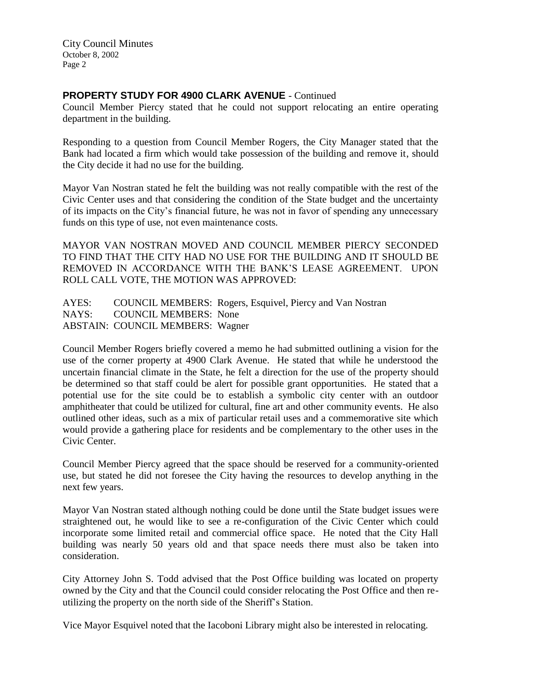City Council Minutes October 8, 2002 Page 2

## **PROPERTY STUDY FOR 4900 CLARK AVENUE** - Continued

Council Member Piercy stated that he could not support relocating an entire operating department in the building.

Responding to a question from Council Member Rogers, the City Manager stated that the Bank had located a firm which would take possession of the building and remove it, should the City decide it had no use for the building.

Mayor Van Nostran stated he felt the building was not really compatible with the rest of the Civic Center uses and that considering the condition of the State budget and the uncertainty of its impacts on the City's financial future, he was not in favor of spending any unnecessary funds on this type of use, not even maintenance costs.

MAYOR VAN NOSTRAN MOVED AND COUNCIL MEMBER PIERCY SECONDED TO FIND THAT THE CITY HAD NO USE FOR THE BUILDING AND IT SHOULD BE REMOVED IN ACCORDANCE WITH THE BANK'S LEASE AGREEMENT. UPON ROLL CALL VOTE, THE MOTION WAS APPROVED:

AYES: COUNCIL MEMBERS: Rogers, Esquivel, Piercy and Van Nostran NAYS: COUNCIL MEMBERS: None ABSTAIN: COUNCIL MEMBERS: Wagner

Council Member Rogers briefly covered a memo he had submitted outlining a vision for the use of the corner property at 4900 Clark Avenue. He stated that while he understood the uncertain financial climate in the State, he felt a direction for the use of the property should be determined so that staff could be alert for possible grant opportunities. He stated that a potential use for the site could be to establish a symbolic city center with an outdoor amphitheater that could be utilized for cultural, fine art and other community events. He also outlined other ideas, such as a mix of particular retail uses and a commemorative site which would provide a gathering place for residents and be complementary to the other uses in the Civic Center.

Council Member Piercy agreed that the space should be reserved for a community-oriented use, but stated he did not foresee the City having the resources to develop anything in the next few years.

Mayor Van Nostran stated although nothing could be done until the State budget issues were straightened out, he would like to see a re-configuration of the Civic Center which could incorporate some limited retail and commercial office space. He noted that the City Hall building was nearly 50 years old and that space needs there must also be taken into consideration.

City Attorney John S. Todd advised that the Post Office building was located on property owned by the City and that the Council could consider relocating the Post Office and then reutilizing the property on the north side of the Sheriff's Station.

Vice Mayor Esquivel noted that the Iacoboni Library might also be interested in relocating.